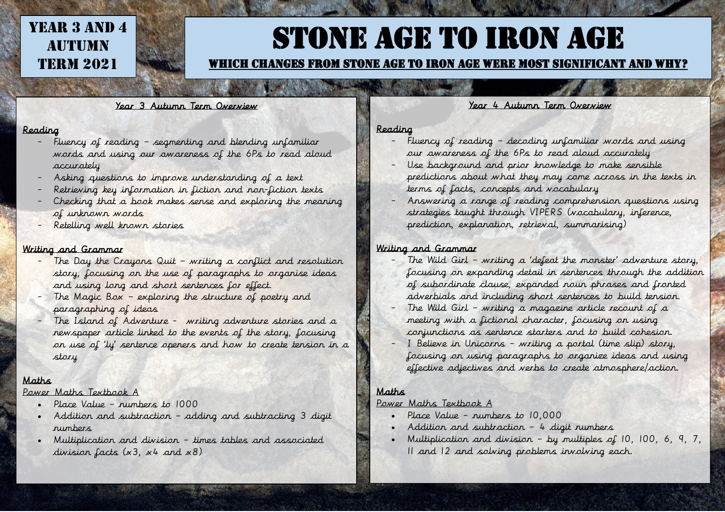## YEAR 3 AND 4 **AUTUMN TERM 2021**

## Stone Age to Iron Age

#### Which changes from stone age to iron age were most significant and why?

Year 3 Autumn Term Overview

#### Reading

- Fluency of reading segmenting and blending unfamiliar words and using our awareness of the 6Ps to read aloud accurately
- Asking questions to improve understanding of a text
- Retrieving key information in fiction and non-fiction texts
- Checking that a book makes sense and exploring the meaning of unknown words
- Retelling well known stories

#### Writing and Grammar

- The Day the Crayons Quit writing a conflict and resolution story, focusing on the use of paragraphs to organise ideas and using long and short sentences for effect.
- The Magic Box exploring the structure of poetry and paragraphing of ideas
- The Island of Adventure writing adventure stories and a newspaper article linked to the events of the story, focusing on use of 'ly' sentence openers and how to create tension in a story

#### Maths

#### Power Maths Textbook A

- Place Value numbers to 1000
- Addition and subtraction adding and subtracting 3 digit numbers
- Multiplication and division times tables and associated division facts  $(x3, x4$  and  $x8)$

#### Year 4 Autumn Term Overview

#### Reading

- Fluency of reading decoding unfamiliar words and using our awareness of the 6Ps to read aloud accurately
- Use background and prior knowledge to make sensible predictions about what they may come across in the texts in terms of facts, concepts and vocabulary
- Answering a range of reading comprehension questions using strategies taught through VIPERS (vocabulary, inference, prediction, explanation, retrieval, summarising)

#### Writing and Grammar

- The Wild Girl writing a 'defeat the monster' adventure story, focusing on expanding detail in sentences through the addition of subordinate clause, expanded noun phrases and fronted adverbials and including short sentences to build tension.
- The Wild Girl writing a magazine article recount of a meeting with a fictional character, focusing on using conjunctions as sentence starters and to build cohesion.
- I Believe in Unicorns writing a portal (time slip) story, focusing on using paragraphs to organize ideas and using effective adjectives and verbs to create atmosphere/action.

#### Maths

#### Power Maths Textbook A

- Place Value numbers to 10,000
- Addition and subtraction 4 digit numbers
- Multiplication and division by multiples of 10, 100, 6, 9, 7, 11 and 12 and solving problems involving each.